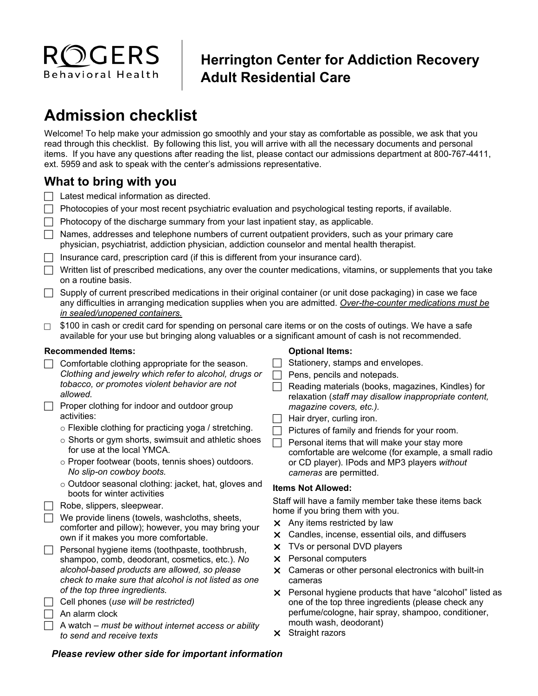

## **Herrington Center for Addiction Recovery Adult Residential Care**

# **Admission checklist**

Welcome! To help make your admission go smoothly and your stay as comfortable as possible, we ask that you read through this checklist. By following this list, you will arrive with all the necessary documents and personal items. If you have any questions after reading the list, please contact our admissions department at 800-767-4411, ext. 5959 and ask to speak with the center's admissions representative.

### **What to bring with you**

- $\Box$  Latest medical information as directed.
- $\Box$  Photocopies of your most recent psychiatric evaluation and psychological testing reports, if available.
- $\Box$  Photocopy of the discharge summary from your last inpatient stay, as applicable.
- $\Box$  Names, addresses and telephone numbers of current outpatient providers, such as your primary care physician, psychiatrist, addiction physician, addiction counselor and mental health therapist.
- $\Box$  Insurance card, prescription card (if this is different from your insurance card).
- $\Box$  Written list of prescribed medications, any over the counter medications, vitamins, or supplements that you take on a routine basis.
- $\Box$  Supply of current prescribed medications in their original container (or unit dose packaging) in case we face any difficulties in arranging medication supplies when you are admitted. *Over-the-counter medications must be in sealed/unopened containers.*
- $\Box$  \$100 in cash or credit card for spending on personal care items or on the costs of outings. We have a safe available for your use but bringing along valuables or a significant amount of cash is not recommended.

#### **Recommended Items:**

- $\Box$  Comfortable clothing appropriate for the season. *Clothing and jewelry which refer to alcohol, drugs or tobacco, or promotes violent behavior are not allowed.*
- $\Box$  Proper clothing for indoor and outdoor group activities:
	- o Flexible clothing for practicing yoga / stretching.
	- o Shorts or gym shorts, swimsuit and athletic shoes for use at the local YMCA.
	- o Proper footwear (boots, tennis shoes) outdoors. *No slip-on cowboy boots.*
	- o Outdoor seasonal clothing: jacket, hat, gloves and boots for winter activities
- $\Box$  Robe, slippers, sleepwear.

 $\Box$  We provide linens (towels, washcloths, sheets, comforter and pillow); however, you may bring your own if it makes you more comfortable.

- $\Box$  Personal hygiene items (toothpaste, toothbrush, shampoo, comb, deodorant, cosmetics, etc.). *No alcohol-based products are allowed, so please check to make sure that alcohol is not listed as one of the top three ingredients.*
- Cell phones (*use will be restricted)*
- $\Box$  An alarm clock

 A watch – *must be without internet access or ability to send and receive texts*

#### **Optional Items:**

- Stationery, stamps and envelopes.
- $\Box$  Pens, pencils and notepads.
- $\Box$  Reading materials (books, magazines, Kindles) for relaxation (*staff may disallow inappropriate content, magazine covers, etc.).*
- $\Box$  Hair dryer, curling iron.
- $\Box$  Pictures of family and friends for your room.
- $\Box$  Personal items that will make your stay more comfortable are welcome (for example, a small radio or CD player). IPods and MP3 players *without cameras* are permitted.

#### **Items Not Allowed:**

Staff will have a family member take these items back home if you bring them with you.

- $\times$  Any items restricted by law
- Candles, incense, essential oils, and diffusers
- X TVs or personal DVD players
- $\times$  Personal computers
- $\times$  Cameras or other personal electronics with built-in cameras
- **X** Personal hygiene products that have "alcohol" listed as one of the top three ingredients (please check any perfume/cologne, hair spray, shampoo, conditioner, mouth wash, deodorant)
- $\times$  Straight razors

#### *Please review other side for important information*